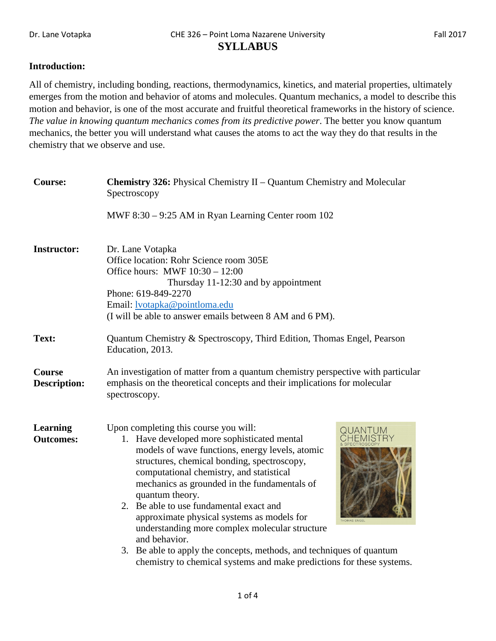## **Introduction:**

All of chemistry, including bonding, reactions, thermodynamics, kinetics, and material properties, ultimately emerges from the motion and behavior of atoms and molecules. Quantum mechanics, a model to describe this motion and behavior, is one of the most accurate and fruitful theoretical frameworks in the history of science. *The value in knowing quantum mechanics comes from its predictive power*. The better you know quantum mechanics, the better you will understand what causes the atoms to act the way they do that results in the chemistry that we observe and use.

| <b>Course:</b>                       | <b>Chemistry 326:</b> Physical Chemistry II – Quantum Chemistry and Molecular<br>Spectroscopy                                                                                                                                                                                                                                                                                                                                                                                                                                                             |  |  |
|--------------------------------------|-----------------------------------------------------------------------------------------------------------------------------------------------------------------------------------------------------------------------------------------------------------------------------------------------------------------------------------------------------------------------------------------------------------------------------------------------------------------------------------------------------------------------------------------------------------|--|--|
|                                      | MWF 8:30 – 9:25 AM in Ryan Learning Center room 102                                                                                                                                                                                                                                                                                                                                                                                                                                                                                                       |  |  |
| <b>Instructor:</b>                   | Dr. Lane Votapka<br>Office location: Rohr Science room 305E<br>Office hours: MWF $10:30 - 12:00$<br>Thursday 11-12:30 and by appointment<br>Phone: 619-849-2270<br>Email: <b>lvotapka@pointloma.edu</b><br>(I will be able to answer emails between 8 AM and 6 PM).                                                                                                                                                                                                                                                                                       |  |  |
| Text:                                | Quantum Chemistry & Spectroscopy, Third Edition, Thomas Engel, Pearson<br>Education, 2013.                                                                                                                                                                                                                                                                                                                                                                                                                                                                |  |  |
| <b>Course</b><br><b>Description:</b> | An investigation of matter from a quantum chemistry perspective with particular<br>emphasis on the theoretical concepts and their implications for molecular<br>spectroscopy.                                                                                                                                                                                                                                                                                                                                                                             |  |  |
| Learning<br><b>Outcomes:</b>         | Upon completing this course you will:<br>1. Have developed more sophisticated mental<br>models of wave functions, energy levels, atomic<br>structures, chemical bonding, spectroscopy,<br>computational chemistry, and statistical<br>mechanics as grounded in the fundamentals of<br>quantum theory.<br>2. Be able to use fundamental exact and<br>approximate physical systems as models for<br>THOMAS ENGEL<br>understanding more complex molecular structure<br>and behavior.<br>3. Be able to apply the concepts, methods, and techniques of quantum |  |  |
|                                      | chemistry to chemical systems and make predictions for these systems.                                                                                                                                                                                                                                                                                                                                                                                                                                                                                     |  |  |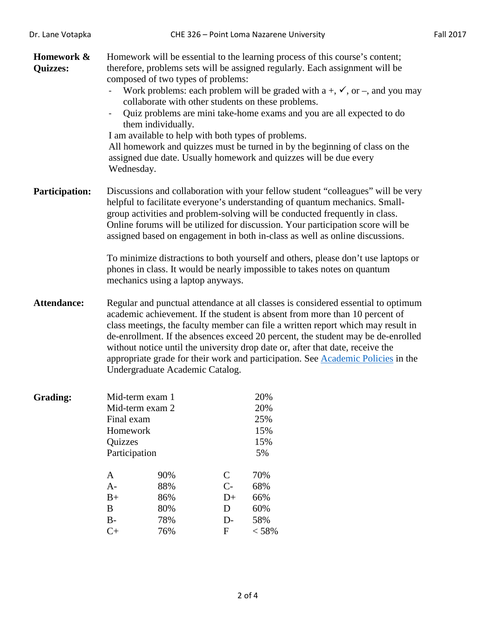| Homework &<br><b>Quizzes:</b> | Homework will be essential to the learning process of this course's content;<br>therefore, problems sets will be assigned regularly. Each assignment will be<br>composed of two types of problems:<br>Work problems: each problem will be graded with $a +, \checkmark$ , or $-$ , and you may<br>collaborate with other students on these problems.<br>Quiz problems are mini take-home exams and you are all expected to do<br>them individually.<br>I am available to help with both types of problems.<br>All homework and quizzes must be turned in by the beginning of class on the<br>assigned due date. Usually homework and quizzes will be due every<br>Wednesday. |                                 |                                           |                                                                          |  |
|-------------------------------|------------------------------------------------------------------------------------------------------------------------------------------------------------------------------------------------------------------------------------------------------------------------------------------------------------------------------------------------------------------------------------------------------------------------------------------------------------------------------------------------------------------------------------------------------------------------------------------------------------------------------------------------------------------------------|---------------------------------|-------------------------------------------|--------------------------------------------------------------------------|--|
| <b>Participation:</b>         | Discussions and collaboration with your fellow student "colleagues" will be very<br>helpful to facilitate everyone's understanding of quantum mechanics. Small-<br>group activities and problem-solving will be conducted frequently in class.<br>Online forums will be utilized for discussion. Your participation score will be<br>assigned based on engagement in both in-class as well as online discussions.<br>To minimize distractions to both yourself and others, please don't use laptops or<br>phones in class. It would be nearly impossible to takes notes on quantum<br>mechanics using a laptop anyways.                                                      |                                 |                                           |                                                                          |  |
| <b>Attendance:</b>            | Regular and punctual attendance at all classes is considered essential to optimum<br>academic achievement. If the student is absent from more than 10 percent of<br>class meetings, the faculty member can file a written report which may result in<br>de-enrollment. If the absences exceed 20 percent, the student may be de-enrolled<br>without notice until the university drop date or, after that date, receive the<br>appropriate grade for their work and participation. See Academic Policies in the<br>Undergraduate Academic Catalog.                                                                                                                            |                                 |                                           |                                                                          |  |
| <b>Grading:</b>               | Mid-term exam 1<br>Mid-term exam 2<br>Final exam<br>Homework<br>Quizzes<br>Participation<br>A<br>$A-$<br>$B+$<br>$\bf{B}$<br>$B-$                                                                                                                                                                                                                                                                                                                                                                                                                                                                                                                                            | 90%<br>88%<br>86%<br>80%<br>78% | $\mathbf C$<br>$C -$<br>$D+$<br>D<br>$D-$ | 20%<br>20%<br>25%<br>15%<br>15%<br>5%<br>70%<br>68%<br>66%<br>60%<br>58% |  |
|                               | $C+$                                                                                                                                                                                                                                                                                                                                                                                                                                                                                                                                                                                                                                                                         | 76%                             | $\mathbf F$                               | < 58%                                                                    |  |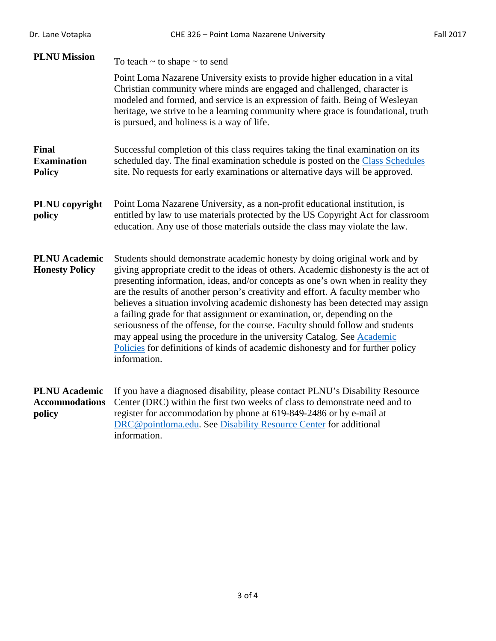| Dr. Lane Votapka                                        | CHE 326 - Point Loma Nazarene University                                                                                                                                                                                                                                                                                                                                                                                                                                                                                                                                                                                                                                                                                                                               | <b>Fall 2017</b> |
|---------------------------------------------------------|------------------------------------------------------------------------------------------------------------------------------------------------------------------------------------------------------------------------------------------------------------------------------------------------------------------------------------------------------------------------------------------------------------------------------------------------------------------------------------------------------------------------------------------------------------------------------------------------------------------------------------------------------------------------------------------------------------------------------------------------------------------------|------------------|
| <b>PLNU Mission</b>                                     | To teach $\sim$ to shape $\sim$ to send                                                                                                                                                                                                                                                                                                                                                                                                                                                                                                                                                                                                                                                                                                                                |                  |
|                                                         | Point Loma Nazarene University exists to provide higher education in a vital<br>Christian community where minds are engaged and challenged, character is<br>modeled and formed, and service is an expression of faith. Being of Wesleyan<br>heritage, we strive to be a learning community where grace is foundational, truth<br>is pursued, and holiness is a way of life.                                                                                                                                                                                                                                                                                                                                                                                            |                  |
| Final<br><b>Examination</b><br><b>Policy</b>            | Successful completion of this class requires taking the final examination on its<br>scheduled day. The final examination schedule is posted on the Class Schedules<br>site. No requests for early examinations or alternative days will be approved.                                                                                                                                                                                                                                                                                                                                                                                                                                                                                                                   |                  |
| PLNU copyright<br>policy                                | Point Loma Nazarene University, as a non-profit educational institution, is<br>entitled by law to use materials protected by the US Copyright Act for classroom<br>education. Any use of those materials outside the class may violate the law.                                                                                                                                                                                                                                                                                                                                                                                                                                                                                                                        |                  |
| <b>PLNU</b> Academic<br><b>Honesty Policy</b>           | Students should demonstrate academic honesty by doing original work and by<br>giving appropriate credit to the ideas of others. Academic dishonesty is the act of<br>presenting information, ideas, and/or concepts as one's own when in reality they<br>are the results of another person's creativity and effort. A faculty member who<br>believes a situation involving academic dishonesty has been detected may assign<br>a failing grade for that assignment or examination, or, depending on the<br>seriousness of the offense, for the course. Faculty should follow and students<br>may appeal using the procedure in the university Catalog. See Academic<br>Policies for definitions of kinds of academic dishonesty and for further policy<br>information. |                  |
| <b>PLNU</b> Academic<br><b>Accommodations</b><br>policy | If you have a diagnosed disability, please contact PLNU's Disability Resource<br>Center (DRC) within the first two weeks of class to demonstrate need and to<br>register for accommodation by phone at 619-849-2486 or by e-mail at<br>DRC@pointloma.edu. See Disability Resource Center for additional<br>information.                                                                                                                                                                                                                                                                                                                                                                                                                                                |                  |